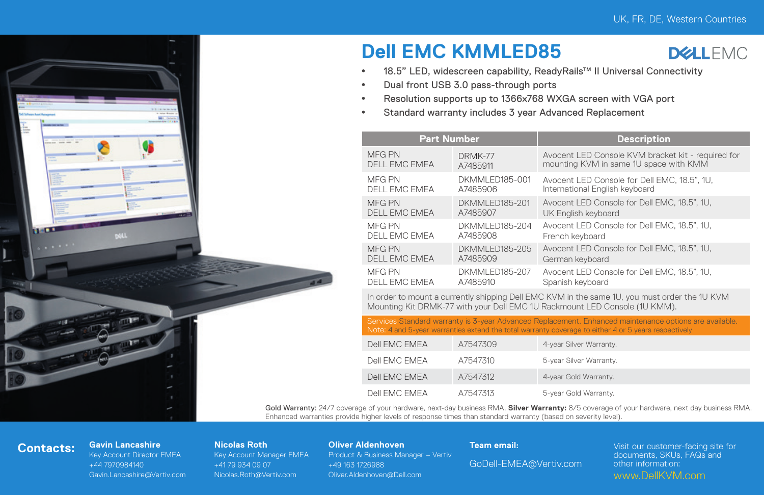

# **Dell EMC KMMLED85**



- 18.5" LED, widescreen capability, ReadyRails™ II Universal Connectivity
- Dual front USB 3.0 pass-through ports
- Resolution supports up to 1366x768 WXGA screen with VGA port
- <sup>•</sup> Standard warranty includes 3 year Advanced Replacement

|  | <b>Part Number</b>             |                                    | <b>Description</b>                                                                           |  |  |
|--|--------------------------------|------------------------------------|----------------------------------------------------------------------------------------------|--|--|
|  | MFG PN<br><b>DELL EMC EMEA</b> | DRMK-77<br>A7485911                | Avocent LED Console KVM bracket kit - required for<br>mounting KVM in same 1U space with KMM |  |  |
|  | MFG PN<br>DELL EMC EMEA        | DKMMI FD185-001<br>A7485906        | Avocent LED Console for Dell EMC, 18.5", 1U,<br>International English keyboard               |  |  |
|  | MFG PN<br><b>DELL EMC EMEA</b> | <b>DKMMI FD185-201</b><br>A7485907 | Avocent LED Console for Dell EMC, 18.5", 1U.<br>UK English keyboard                          |  |  |
|  | MFG PN<br>DELL EMC EMEA        | DKMMLED185-204<br>A7485908         | Avocent LED Console for Dell EMC, 18.5", 1U,<br>French keyboard                              |  |  |
|  | MFG PN<br><b>DELL EMC EMEA</b> | DKMMI FD185-205<br>A7485909        | Avocent LED Console for Dell EMC, 18.5", 1U.<br>German keyboard                              |  |  |
|  | MFG PN<br>DELL EMC EMEA        | DKMMI FD185-207<br>A7485910        | Avocent LED Console for Dell EMC, 18.5", 1U.<br>Spanish keyboard                             |  |  |
|  |                                |                                    |                                                                                              |  |  |

In order to mount a currently shipping Dell EMC KVM in the same 1U, you must order the 1U KVM Mounting Kit DRMK-77 with your Dell EMC 1U Rackmount LED Console (1U KMM).

Services Standard warranty is 3-year Advanced Replacement. Enhanced maintenance options are available. Note: 4 and 5-year warranties extend the total warranty coverage to either 4 or 5 years respectively

| Dell FMC FMFA | A7547309 | 4-year Silver Warranty. |
|---------------|----------|-------------------------|
| Dell FMC FMFA | A7547310 | 5-year Silver Warranty. |
| Dell FMC FMFA | A7547312 | 4-year Gold Warranty.   |
| Dell FMC FMFA | A7547313 | 5-year Gold Warranty.   |

Gold Warranty: 24/7 coverage of your hardware, next-day business RMA. **Silver Warranty:** 8/5 coverage of your hardware, next day business RMA. Enhanced warranties provide higher levels of response times than standard warranty (based on severity level).

# **Contacts: Gavin Lancashire**

Key Account Director EMEA +44 7970984140 Gavin.Lancashire@Vertiv.com

### **Nicolas Roth**

Key Account Manager EMEA +41 79 934 09 07 Nicolas.Roth@Vertiv.com

## **Oliver Aldenhoven**

Product & Business Manager – Vertiv +49 163 1726988 Oliver.Aldenhoven@Dell.com

## **Team email:**

GoDell-EMEA@Vertiv.com

Visit our customer-facing site for documents, SKUs, FAQs and other information: www.DellKVM.com